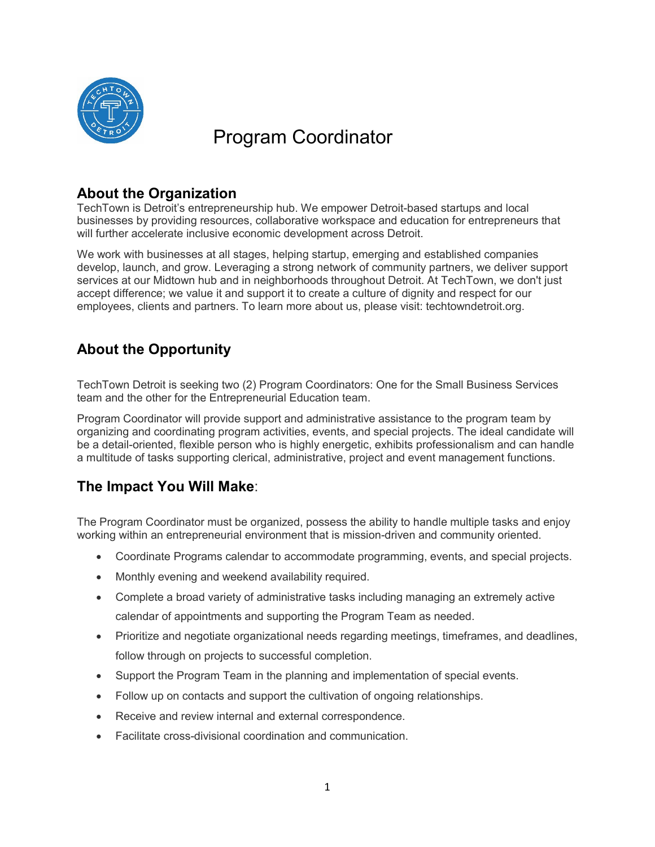

# Program Coordinator

# **About the Organization**

TechTown is Detroit's entrepreneurship hub. We empower Detroit-based startups and local businesses by providing resources, collaborative workspace and education for entrepreneurs that will further accelerate inclusive economic development across Detroit.

We work with businesses at all stages, helping startup, emerging and established companies develop, launch, and grow. Leveraging a strong network of community partners, we deliver support services at our Midtown hub and in neighborhoods throughout Detroit. At TechTown, we don't just accept difference; we value it and support it to create a culture of dignity and respect for our employees, clients and partners. To learn more about us, please visit: techtowndetroit.org.

# **About the Opportunity**

TechTown Detroit is seeking two (2) Program Coordinators: One for the Small Business Services team and the other for the Entrepreneurial Education team.

Program Coordinator will provide support and administrative assistance to the program team by organizing and coordinating program activities, events, and special projects. The ideal candidate will be a detail-oriented, flexible person who is highly energetic, exhibits professionalism and can handle a multitude of tasks supporting clerical, administrative, project and event management functions.

# **The Impact You Will Make**:

The Program Coordinator must be organized, possess the ability to handle multiple tasks and enjoy working within an entrepreneurial environment that is mission-driven and community oriented.

- Coordinate Programs calendar to accommodate programming, events, and special projects.
- Monthly evening and weekend availability required.
- Complete a broad variety of administrative tasks including managing an extremely active calendar of appointments and supporting the Program Team as needed.
- Prioritize and negotiate organizational needs regarding meetings, timeframes, and deadlines, follow through on projects to successful completion.
- Support the Program Team in the planning and implementation of special events.
- Follow up on contacts and support the cultivation of ongoing relationships.
- Receive and review internal and external correspondence.
- Facilitate cross-divisional coordination and communication.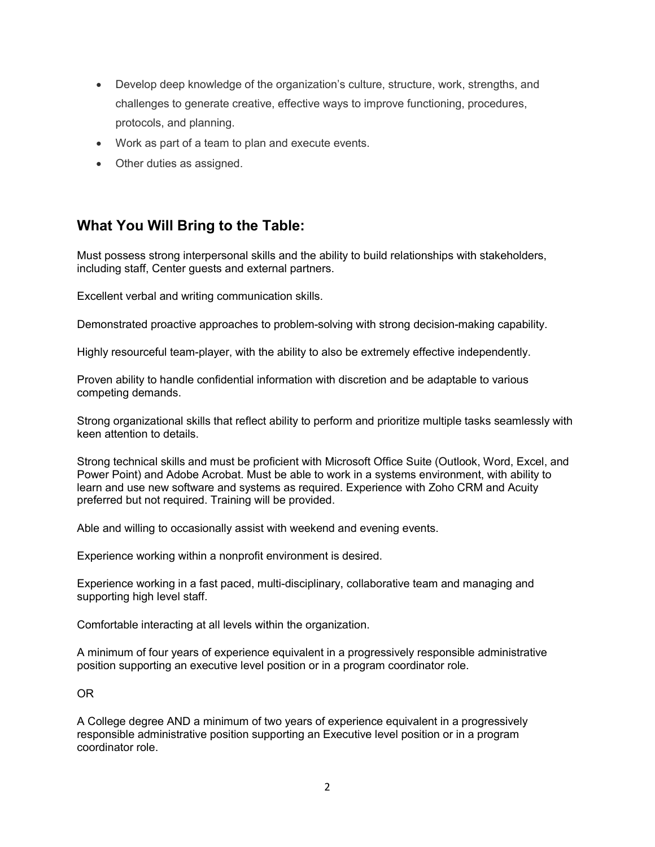- Develop deep knowledge of the organization's culture, structure, work, strengths, and challenges to generate creative, effective ways to improve functioning, procedures, protocols, and planning.
- Work as part of a team to plan and execute events.
- Other duties as assigned.

## **What You Will Bring to the Table:**

Must possess strong interpersonal skills and the ability to build relationships with stakeholders, including staff, Center guests and external partners.

Excellent verbal and writing communication skills.

Demonstrated proactive approaches to problem-solving with strong decision-making capability.

Highly resourceful team-player, with the ability to also be extremely effective independently.

Proven ability to handle confidential information with discretion and be adaptable to various competing demands.

Strong organizational skills that reflect ability to perform and prioritize multiple tasks seamlessly with keen attention to details.

Strong technical skills and must be proficient with Microsoft Office Suite (Outlook, Word, Excel, and Power Point) and Adobe Acrobat. Must be able to work in a systems environment, with ability to learn and use new software and systems as required. Experience with Zoho CRM and Acuity preferred but not required. Training will be provided.

Able and willing to occasionally assist with weekend and evening events.

Experience working within a nonprofit environment is desired.

Experience working in a fast paced, multi-disciplinary, collaborative team and managing and supporting high level staff.

Comfortable interacting at all levels within the organization.

A minimum of four years of experience equivalent in a progressively responsible administrative position supporting an executive level position or in a program coordinator role.

OR

A College degree AND a minimum of two years of experience equivalent in a progressively responsible administrative position supporting an Executive level position or in a program coordinator role.